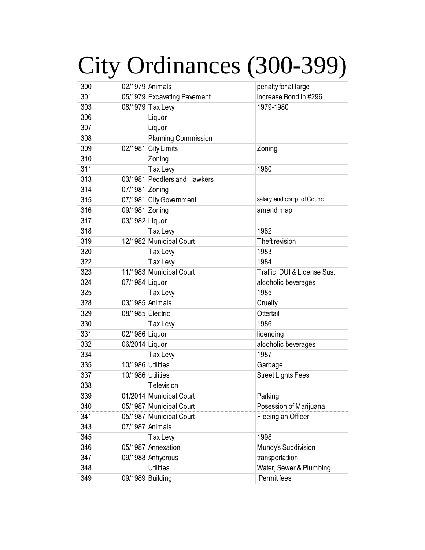## City Ordinances (300-399)

| 300 | 02/1979 Animals   |                              | penalty for at large        |
|-----|-------------------|------------------------------|-----------------------------|
| 301 |                   | 05/1979 Excavating Pavement  | increase Bond in #296       |
| 303 |                   | 08/1979 Tax Lew              | 1979-1980                   |
| 306 |                   | Liquor                       |                             |
| 307 |                   | Liquor                       |                             |
| 308 |                   | <b>Planning Commission</b>   |                             |
| 309 |                   | 02/1981 City Limits          | Zoning                      |
| 310 |                   | Zoning                       |                             |
| 311 |                   | Tax Lew                      | 1980                        |
| 313 |                   | 03/1981 Peddlers and Hawkers |                             |
| 314 | 07/1981 Zoning    |                              |                             |
| 315 |                   | 07/1981 City Government      | salary and comp. of Council |
| 316 | 09/1981 Zoning    |                              | amend map                   |
| 317 | 03/1982 Liquor    |                              |                             |
| 318 |                   | Tax Lew                      | 1982                        |
| 319 |                   | 12/1982 Municipal Court      | Theft revision              |
| 320 |                   | Tax Lew                      | 1983                        |
| 322 |                   | Tax Lew                      | 1984                        |
| 323 |                   | 11/1983 Municipal Court      | Traffic DUI & License Sus.  |
| 324 | 07/1984 Liquor    |                              | alcoholic beverages         |
| 325 |                   | Tax Lew                      | 1985                        |
| 328 | 03/1985 Animals   |                              | Cruelty                     |
| 329 | 08/1985 Electric  |                              | Ottertail                   |
| 330 |                   | Tax Lew                      | 1986                        |
| 331 | 02/1986 Liquor    |                              | licencing                   |
| 332 | 06/2014 Liquor    |                              | alcoholic beverages         |
| 334 |                   | Tax Lew                      | 1987                        |
| 335 | 10/1986 Utilities |                              | Garbage                     |
| 337 | 10/1986 Utilities |                              | <b>Street Lights Fees</b>   |
| 338 |                   | Television                   |                             |
| 339 |                   | 01/2014 Municipal Court      | Parking                     |
| 340 |                   | 05/1987 Municipal Court      | Posession of Marijuana      |
| 341 |                   | 05/1987 Municipal Court      | Fleeing an Officer          |
| 343 | 07/1987 Animals   |                              |                             |
| 345 |                   | Tax Lew                      | 1998                        |
| 346 |                   | 05/1987 Annexation           | Mundy's Subdivision         |
| 347 |                   | 09/1988 Anhydrous            | transportattion             |
| 348 |                   | <b>Utilities</b>             | Water, Sewer & Plumbing     |
| 349 | 09/1989 Building  |                              | Permit fees                 |
|     |                   |                              |                             |